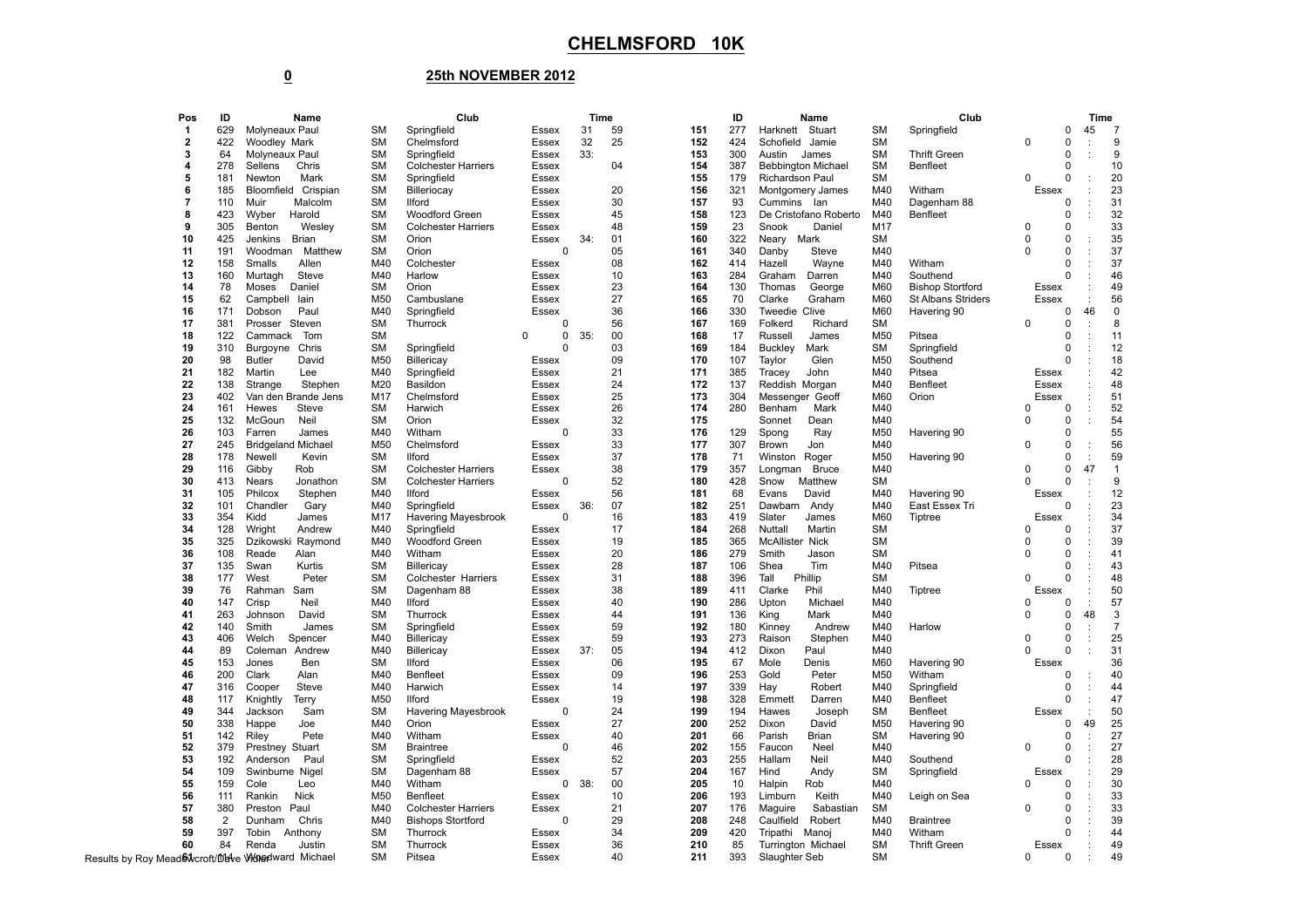## **25th NOVEMBER 2012**

| Pos            | ID             | Name                                                | Club             |                            |                   | <b>Time</b> |          |            | ID<br>Name |                                    |            | Club                      |          |               |                           | Time                 |
|----------------|----------------|-----------------------------------------------------|------------------|----------------------------|-------------------|-------------|----------|------------|------------|------------------------------------|------------|---------------------------|----------|---------------|---------------------------|----------------------|
| $\mathbf{1}$   | 629            | Molyneaux Paul                                      | SM               | Springfield                | Essex             | 31          | 59       | 151        | 277        | Harknett Stuart                    | <b>SM</b>  | Springfield               |          | $\mathbf 0$   | 45                        | $\overline{7}$       |
| $\bf{2}$       | 422            | Woodley Mark                                        | <b>SM</b>        | Chelmsford                 | Essex             | 32          | 25       | 152        | 424        | Schofield Jamie                    | <b>SM</b>  |                           | $\Omega$ | $\mathbf 0$   | ÷                         | 9                    |
| 3              | 64             | Molyneaux Paul                                      | <b>SM</b>        | Springfield                | Essex             | $33$ :      |          | 153        | 300        | Austin<br>James                    | <b>SM</b>  | <b>Thrift Green</b>       |          | $\mathbf 0$   |                           | 9                    |
| $\overline{4}$ | 278            | Sellens<br>Chris                                    | <b>SM</b>        | <b>Colchester Harriers</b> | Essex             |             | 04       | 154        | 387        | <b>Bebbington Michael</b>          | <b>SM</b>  | <b>Benfleet</b>           |          | $\mathbf 0$   |                           | 10                   |
| 5              | 181            | Newton<br>Mark                                      | <b>SM</b>        | Springfield                | Essex             |             |          | 155        | 179        | Richardson Paul                    | <b>SM</b>  |                           | $\Omega$ | $\mathbf 0$   | $\ddot{\phantom{a}}$      | 20                   |
| 6              | 185            | Bloomfield Crispian                                 | <b>SM</b>        | Billeriocay                | Essex             |             | 20       | 156        | 321        | Montgomery James                   | M40        | Witham                    | Essex    |               |                           | 23                   |
| $\overline{7}$ | 110            | Muir<br>Malcolm                                     | <b>SM</b>        | <b>Ilford</b>              | Essex             |             | 30       | 157        | 93         | Cummins lan                        | M40        | Dagenham 88               |          | $\mathbf 0$   |                           | 31                   |
| 8              | 423            | Wyber<br>Harold                                     | <b>SM</b>        | Woodford Green             | Essex             |             | 45       | 158        | 123        | De Cristofano Roberto              | M40        | Benfleet                  |          | $\mathbf 0$   | ÷                         | 32                   |
| 9              | 305            | Wesley<br>Benton                                    | <b>SM</b>        | <b>Colchester Harriers</b> | Essex             |             | 48       | 159        | 23         | Snook<br>Daniel                    | M17        |                           | $\Omega$ | $\mathbf 0$   |                           | 33                   |
| 10             | 425            | Jenkins Brian                                       | <b>SM</b>        | Orion                      | Essex             | 34:         | 01       | 160        | 322        | Neary<br>Mark                      | <b>SM</b>  |                           | 0        | $\mathbf 0$   | $\ddot{\phantom{a}}$      | 35                   |
| 11             | 191            | Woodman Matthew                                     | <b>SM</b>        | Orion                      | $\mathbf 0$       |             | 05       | 161        | 340        | Danby<br>Steve                     | M40        |                           | $\Omega$ | $\mathbf 0$   | ÷                         | 37                   |
| 12             | 158            | Smalls<br>Allen                                     | M40              | Colchester                 | Essex             |             | 08       | 162        | 414        | Hazell<br>Wayne                    | M40        | Witham                    |          | $\mathbf 0$   | ÷                         | 37                   |
| 13             | 160            | Steve<br>Murtagh                                    | M40              | Harlow                     | Essex             |             | 10       | 163        | 284        | Graham<br>Darren                   | M40        | Southend                  |          | $\mathbf 0$   | ÷                         | 46                   |
| 14             | 78             | Moses<br>Daniel                                     | <b>SM</b>        | Orion                      | Essex             |             | 23       | 164        | 130        | Thomas<br>George                   | M60        | <b>Bishop Stortford</b>   | Essex    |               |                           | 49                   |
| 15             | 62             | Campbell lain                                       | M50              | Cambuslane                 | Essex             |             | 27       | 165        | 70         | Clarke<br>Graham                   | M60        | <b>St Albans Striders</b> | Essex    |               |                           | 56                   |
| 16             | 171            | Dobson<br>Paul                                      | M40              | Springfield                | Essex             |             | 36       | 166        | 330        | Tweedie Clive                      | M60        | Havering 90               |          | $\mathbf 0$   | 46                        | $\mathbf 0$          |
| 17             | 381            | Prosser Steven                                      | <b>SM</b>        | Thurrock                   | $\Omega$          |             | 56       | 167        | 169        | Folkerd<br>Richard                 | <b>SM</b>  |                           | $\Omega$ | $\mathbf 0$   | ÷                         | 8                    |
| 18             | 122            | Cammack Tom                                         | <b>SM</b>        |                            | 0<br><sup>0</sup> | 35:         | 00       | 168        | 17         | Russell<br>James                   | M50        | Pitsea                    |          | $\mathbf 0$   | $\ddot{\phantom{a}}$      | 11                   |
| 19             | 310            | Burgoyne<br>Chris                                   | <b>SM</b>        | Springfield                | $\Omega$          |             | 03       | 169        | 184        | <b>Buckley</b><br>Mark             | <b>SM</b>  | Springfield               |          | $\mathbf 0$   | $\ddot{\phantom{a}}$      | 12                   |
| 20             | 98             | <b>Butler</b><br>David                              | M50              | Billericay                 | Essex             |             | 09       | 170        | 107        | Taylor<br>Glen                     | M50        | Southend                  |          | $\Omega$      | ÷                         | 18                   |
| 21             | 182            | Martin<br>Lee                                       | M40              | Springfield                | Essex             |             | 21       | 171        | 385        | Tracey<br>John                     | M40        | Pitsea                    | Essex    |               |                           | 42                   |
| 22             | 138            | Stephen<br>Strange                                  | M20              | Basildon                   | Essex             |             | 24       | 172        | 137        | Reddish Morgan                     | M40        | <b>Benfleet</b>           | Essex    |               |                           | 48                   |
| 23             | 402            | Van den Brande Jens                                 | M17              | Chelmsford                 | Essex             |             | 25       | 173        | 304        | Messenger Geoff                    | M60        | Orion                     | Essex    |               |                           | 51                   |
| 24             | 161            | Hewes<br>Steve                                      | <b>SM</b>        | Harwich                    | Essex             |             | 26       | 174        | 280        | Benham<br>Mark                     | M40        |                           | $\Omega$ | $\Omega$      | ÷                         | 52                   |
| 25             | 132            | McGoun<br>Neil                                      | <b>SM</b>        | Orion                      | Essex             |             | 32       | 175        |            | Sonnet<br>Dean                     | M40        |                           | $\Omega$ | 0             | ÷                         | 54                   |
| 26             | 103            | Farren<br>James                                     | M40              | Witham                     | $\Omega$          |             | 33       | 176        | 129        | Spong<br>Ray                       | M50        | Havering 90               |          | $\mathbf 0$   |                           | 55                   |
| 27             | 245            | <b>Bridgeland Michael</b>                           | M50              | Chelmsford                 | Essex             |             | 33       | 177        | 307        | Brown<br>Jon                       | M40        |                           | $\Omega$ | $\mathbf 0$   | $\ddot{\cdot}$            | 56                   |
| 28             | 178            | Newell<br>Kevin                                     | <b>SM</b>        | <b>Ilford</b>              | Essex             |             | 37       | 178        | 71         | Winston Roger                      | M50        | Havering 90               |          | $\mathbf 0$   | ÷                         | 59                   |
| 29             | 116            | Rob<br>Gibby                                        | <b>SM</b>        | <b>Colchester Harriers</b> | <b>Essex</b>      |             | 38       | 179        | 357        | Longman Bruce                      | M40        |                           | $\Omega$ | $\Omega$      | 47                        | $\overline{1}$       |
| 30             | 413            | Nears<br>Jonathon                                   | <b>SM</b>        | <b>Colchester Harriers</b> | $\Omega$          |             | 52       | 180        | 428        | Snow<br>Matthew                    | <b>SM</b>  |                           | $\Omega$ | $\mathbf 0$   | ÷                         | 9                    |
| 31             | 105            | Philcox<br>Stephen                                  | M40              | <b>Ilford</b>              | Essex             |             | 56       | 181        | 68         | David<br>Evans                     | M40        | Havering 90               | Essex    |               |                           | 12                   |
| 32             | 101            | Chandler<br>Gary                                    | M40              | Springfield                | Essex             | 36:         | 07       | 182        | 251        | Dawbarn<br>Andy                    | M40        | East Essex Tri            |          | $\mathbf 0$   | $\ddot{\phantom{a}}$      | 23                   |
| 33             | 354            | Kidd<br>James                                       | M17              | Havering Mayesbrook        | $\mathbf 0$       |             | 16       | 183        | 419        | Slater<br>James                    | M60        | Tiptree                   | Essex    |               |                           | 34                   |
| 34             | 128            | Wright<br>Andrew                                    | M40              | Springfield                | Essex             |             | 17       | 184        | 268        | Nuttall<br>Martin                  | <b>SM</b>  |                           | $\Omega$ | $\mathbf 0$   | ÷                         | 37                   |
| 35             | 325            | Dzikowski Raymond                                   | M40              | Woodford Green             | <b>Essex</b>      |             | 19       | 185        | 365        | <b>McAllister Nick</b>             | <b>SM</b>  |                           | $\Omega$ | $\mathbf 0$   | ÷                         | 39                   |
| 36             | 108            | Reade<br>Alan                                       | M40              | Witham                     | Essex             |             | 20       | 186        | 279        | Smith<br>Jason                     | <b>SM</b>  |                           | $\Omega$ | $\mathbf 0$   | ÷                         | 41                   |
| 37             | 135            | Kurtis<br>Swan                                      | <b>SM</b>        | Billericay                 | Essex             |             | 28       | 187        | 106        | Shea<br>Tim                        | M40        | Pitsea                    |          | $\mathbf 0$   |                           | 43                   |
| 38             | 177            | West<br>Peter                                       | <b>SM</b>        | Colchester Harriers        | Essex             |             | 31       | 188        | 396        | Tall<br>Phillip                    | <b>SM</b>  |                           | $\Omega$ | $\mathbf 0$   | $\ddot{\phantom{a}}$      | 48                   |
| 39             | 76             | Rahman Sam                                          | <b>SM</b>        | Dagenham 88                | Essex             |             | 38       | 189        | 411        | Clarke<br>Phil                     | M40        | Tiptree                   | Essex    |               |                           | 50                   |
| 40             | 147            | Crisp<br>Neil                                       | M40              | <b>Ilford</b>              | Essex             |             | 40       | 190        | 286        | Upton<br>Michael                   | M40        |                           | $\Omega$ | 0             | ÷                         | 57                   |
| 41             | 263            | Johnson<br>David                                    | <b>SM</b>        | Thurrock                   | Essex             |             | 44       | 191        | 136        | King<br>Mark                       | M40        |                           | $\Omega$ | $\mathbf 0$   | 48                        | 3                    |
| 42<br>43       | 140            | Smith<br>James                                      | <b>SM</b><br>M40 | Springfield                | Essex             |             | 59<br>59 | 192<br>193 | 180        | Kinney<br>Andrew                   | M40        | Harlow                    | $\Omega$ | $\mathbf 0$   | ÷<br>$\ddot{\phantom{a}}$ | $\overline{7}$<br>25 |
| 44             | 406<br>89      | Welch<br>Spencer<br>Coleman Andrew                  | M40              | Billericay<br>Billericay   | Essex<br>Essex    | 37:         | 05       | 194        | 273<br>412 | Raison<br>Stephen<br>Dixon<br>Paul | M40<br>M40 |                           |          | 0<br>$\Omega$ | $\ddot{\phantom{a}}$      | 31                   |
| 45             | 153            | Ben<br>Jones                                        | <b>SM</b>        | <b>Ilford</b>              | Essex             |             | 06       | 195        | 67         | Mole<br>Denis                      | M60        | Havering 90               | Essex    |               |                           | 36                   |
| 46             | 200            | Clark<br>Alan                                       | M40              | <b>Benfleet</b>            | Essex             |             | 09       | 196        | 253        | Gold<br>Peter                      | M50        | Witham                    |          | 0             |                           | 40                   |
| 47             | 316            | Cooper<br>Steve                                     | M40              | Harwich                    | Essex             |             | 14       | 197        | 339        | Hay<br>Robert                      | M40        | Springfield               |          | $\mathbf 0$   | $\ddot{\cdot}$            | 44                   |
| 48             | 117            | Knightly<br><b>Terry</b>                            | M50              | <b>Ilford</b>              | Essex             |             | 19       | 198        | 328        | Emmett<br>Darren                   | M40        | Benfleet                  |          | $\Omega$      | ÷                         | 47                   |
| 49             | 344            | Jackson<br>Sam                                      | <b>SM</b>        | Havering Mayesbrook        | $\mathbf 0$       |             | 24       | 199        | 194        | Hawes<br>Joseph                    | <b>SM</b>  | <b>Benfleet</b>           | Essex    |               |                           | 50                   |
| 50             | 338            | Happe<br>Joe                                        | M40              | Orion                      | <b>Essex</b>      |             | 27       | 200        | 252        | Dixon<br>David                     | M50        | Havering 90               |          | 0             | 49                        | 25                   |
| 51             | 142            | Riley<br>Pete                                       | M40              | Witham                     | Essex             |             | 40       | 201        | 66         | Parish<br><b>Brian</b>             | <b>SM</b>  | Havering 90               |          | $\mathbf 0$   | ÷                         | 27                   |
| 52             | 379            | Prestney Stuart                                     | <b>SM</b>        | <b>Braintree</b>           | $\Omega$          |             | 46       | 202        | 155        | Faucon<br>Neel                     | M40        |                           | $\Omega$ | $\mathbf 0$   | ÷                         | 27                   |
| 53             | 192            | Anderson<br>Paul                                    | <b>SM</b>        | Springfield                | Essex             |             | 52       | 203        | 255        | Hallam<br>Neil                     | M40        | Southend                  |          | $\Omega$      | $\ddot{\phantom{a}}$      | 28                   |
| 54             | 109            | Swinburne Nigel                                     | <b>SM</b>        | Dagenham 88                | Essex             |             | 57       | 204        | 167        | Hind<br>Andy                       | <b>SM</b>  | Springfield               | Essex    |               |                           | 29                   |
| 55             | 159            | Cole<br>Leo                                         | M40              | Witham                     | 0                 | 38:         | 00       | 205        | 10         | Halpin<br>Rob                      | M40        |                           | $\Omega$ | $\mathsf 0$   | ÷                         | 30                   |
| 56             | 111            | Rankin<br><b>Nick</b>                               | M50              | <b>Benfleet</b>            | Essex             |             | 10       | 206        | 193        | Limburn<br>Keith                   | M40        | Leigh on Sea              |          | $\mathbf 0$   | $\ddot{\cdot}$            | 33                   |
| 57             | 380            | Preston<br>Paul                                     | M40              | <b>Colchester Harriers</b> | Essex             |             | 21       | 207        | 176        | Maguire<br>Sabastian               | <b>SM</b>  |                           | $\Omega$ | $\mathbf 0$   | ÷                         | 33                   |
| 58             | $\overline{2}$ | Dunham<br>Chris                                     | M40              | <b>Bishops Stortford</b>   | 0                 |             | 29       | 208        | 248        | Caulfield<br>Robert                | M40        | <b>Braintree</b>          |          | $\mathbf 0$   | ÷                         | 39                   |
| 59             | 397            | Tobin<br>Anthony                                    | <b>SM</b>        | Thurrock                   | Essex             |             | 34       | 209        | 420        | Tripathi Manoj                     | M40        | Witham                    |          | $\mathbf 0$   | $\ddot{\phantom{a}}$      | 44                   |
| 60             | 84             | Renda<br>Justin                                     | <b>SM</b>        | Thurrock                   | Essex             |             | 36       | 210        | 85         | Turrington Michael                 | <b>SM</b>  | <b>Thrift Green</b>       | Essex    |               |                           | 49                   |
|                |                | Results by Roy Mead & Ncroft/Dave Winedward Michael | SM               | Pitsea                     | Essex             |             | 40       | 211        | 393        | Slaughter Seb                      | <b>SM</b>  |                           | $\Omega$ | $\mathbf 0$   |                           | 49                   |
|                |                |                                                     |                  |                            |                   |             |          |            |            |                                    |            |                           |          |               |                           |                      |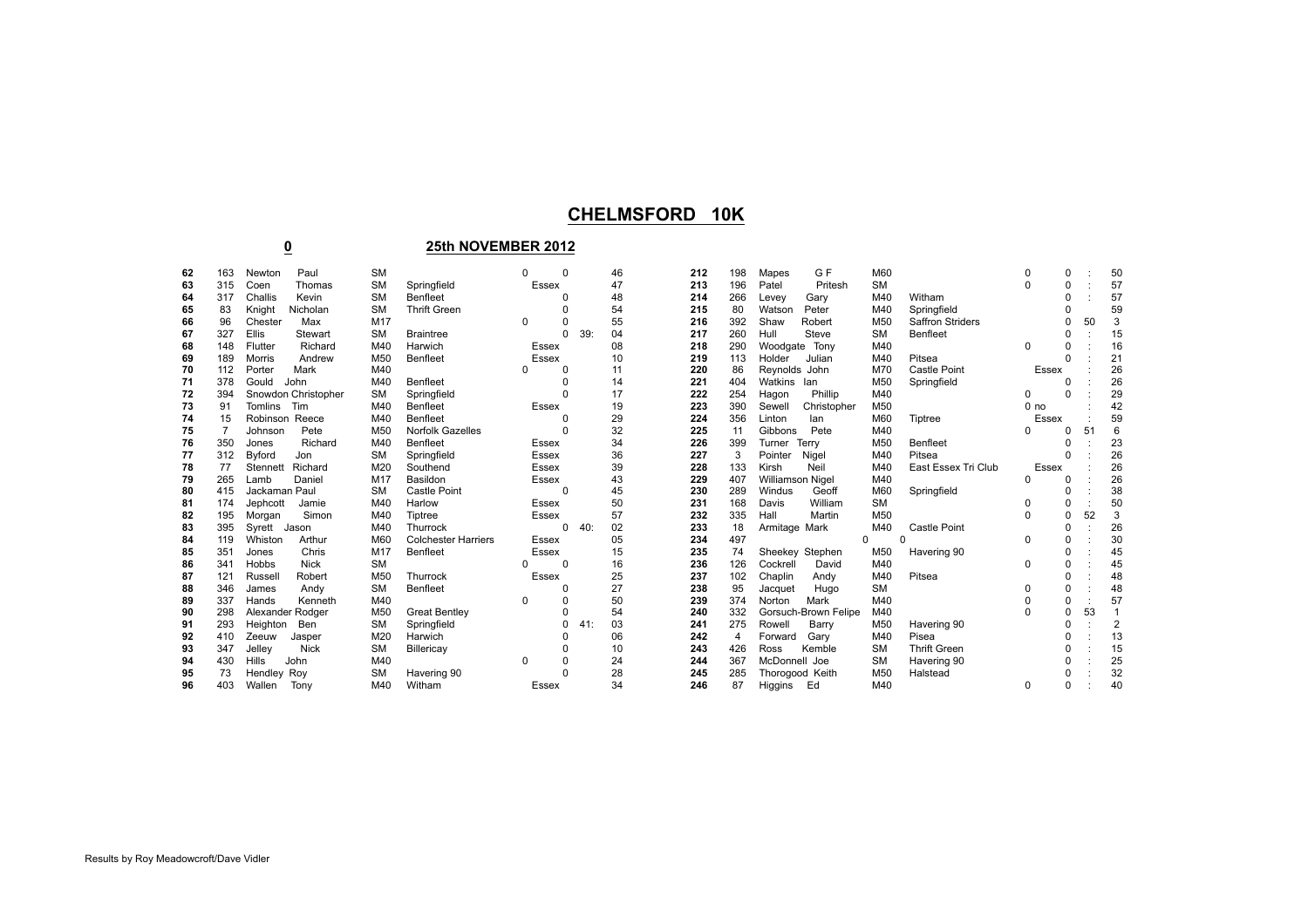## **CHELMSFORD 10K**

## **25th NOVEMBER 2012**

| 62 | 163            | Paul<br>Newton              | <b>SM</b> |                            | $\Omega$ | 0 |     | 46 | 212 | 198 | G F<br>Mapes            | M60       |                         |                 | 0        |    | 50             |
|----|----------------|-----------------------------|-----------|----------------------------|----------|---|-----|----|-----|-----|-------------------------|-----------|-------------------------|-----------------|----------|----|----------------|
| 63 | 315            | Coen<br>Thomas              | <b>SM</b> | Springfield                | Essex    |   |     | 47 | 213 | 196 | Pritesh<br>Patel        | <b>SM</b> |                         |                 | 0        |    | 57             |
| 64 | 317            | Challis<br>Kevin            | <b>SM</b> | <b>Benfleet</b>            |          |   |     | 48 | 214 | 266 | Gary<br>Levey           | M40       | Witham                  |                 | 0        |    | 57             |
| 65 | 83             | Nicholan<br>Knight          | <b>SM</b> | <b>Thrift Green</b>        |          |   |     | 54 | 215 | 80  | Peter<br>Watson         | M40       | Springfield             |                 | ŋ        |    | 59             |
| 66 | 96             | Max<br>Chester              | M17       |                            | 0        |   |     | 55 | 216 | 392 | Shaw<br>Robert          | M50       | <b>Saffron Striders</b> |                 |          | 50 | 3              |
| 67 | 327            | Ellis<br>Stewart            | <b>SM</b> | <b>Braintree</b>           |          | 0 | 39: | 04 | 217 | 260 | Steve<br>Hull           | <b>SM</b> | Benfleet                |                 | 0        |    | 15             |
| 68 | 148            | Richard<br>Flutter          | M40       | Harwich                    | Essex    |   |     | 08 | 218 | 290 | Tony<br>Woodgate        | M40       |                         | 0               | 0        |    | 16             |
| 69 | 189            | Andrew<br>Morris            | M50       | Benfleet                   | Essex    |   |     | 10 | 219 | 113 | Holder<br>Julian        | M40       | Pitsea                  |                 | 0        |    | 21             |
| 70 | 112            | Mark<br>Porter              | M40       |                            |          |   |     | 11 | 220 | 86  | Reynolds John           | M70       | <b>Castle Point</b>     | Essex           |          |    | 26             |
| 71 | 378            | Gould<br>John               | M40       | Benfleet                   |          |   |     | 14 | 221 | 404 | Watkins lan             | M50       | Springfield             |                 |          |    | 26             |
| 72 | 394            | Snowdon Christopher         | <b>SM</b> | Springfield                |          |   |     | 17 | 222 | 254 | Phillip<br>Hagon        | M40       |                         | <sup>0</sup>    | 0        |    | 29             |
| 73 | 91             | <b>Tomlins</b><br>Tim       | M40       | Benfleet                   | Essex    |   |     | 19 | 223 | 390 | Sewell<br>Christopher   | M50       |                         | 0 <sub>no</sub> |          |    | 42             |
| 74 | 15             | Robinson Reece              | M40       | Benfleet                   |          |   |     | 29 | 224 | 356 | Linton<br>lan           | M60       | Tiptree                 | Essex           |          |    | 59             |
| 75 | $\overline{7}$ | Pete<br>Johnson             | M50       | <b>Norfolk Gazelles</b>    |          |   |     | 32 | 225 | 11  | Pete<br>Gibbons         | M40       |                         |                 | 0        | 51 | 6              |
| 76 | 350            | Richard<br>Jones            | M40       | Benfleet                   | Essex    |   |     | 34 | 226 | 399 | Terry<br>Turner         | M50       | Benfleet                |                 |          |    | 23             |
| 77 | 312            | Byford<br>Jon               | <b>SM</b> | Springfield                | Essex    |   |     | 36 | 227 | 3   | Pointer<br>Nigel        | M40       | Pitsea                  |                 | 0        |    | 26             |
| 78 | 77             | Stennett Richard            | M20       | Southend                   | Essex    |   |     | 39 | 228 | 133 | Kirsh<br>Neil           | M40       | East Essex Tri Club     | Essex           |          |    | 26             |
| 79 | 265            | Daniel<br>Lamb              | M17       | Basildon                   | Essex    |   |     | 43 | 229 | 407 | <b>Williamson Nigel</b> | M40       |                         |                 | 0        |    | 26             |
| 80 | 415            | Jackaman Paul               | <b>SM</b> | Castle Point               |          | ŋ |     | 45 | 230 | 289 | Windus<br>Geoff         | M60       | Springfield             |                 | 0        |    | 38             |
| 81 | 174            | Jephcott<br>Jamie           | M40       | Harlow                     | Essex    |   |     | 50 | 231 | 168 | William<br>Davis        | <b>SM</b> |                         |                 | 0        |    | 50             |
| 82 | 195            | Simon<br>Morgan             | M40       | Tiptree                    | Essex    |   |     | 57 | 232 | 335 | Hall<br>Martin          | M50       |                         |                 | 0        | 52 | 3              |
| 83 | 395            | Jason<br>Syrett             | M40       | Thurrock                   |          | 0 | 40: | 02 | 233 | 18  | Armitage Mark           | M40       | <b>Castle Point</b>     |                 | 0        |    | 26             |
| 84 | 119            | Whiston<br>Arthur           | M60       | <b>Colchester Harriers</b> | Essex    |   |     | 05 | 234 | 497 | $\Omega$                |           | ŋ                       | $\Omega$        | 0        |    | 30             |
| 85 | 351            | Chris<br>Jones              | M17       | Benfleet                   | Essex    |   |     | 15 | 235 | 74  | Sheekey Stephen         | M50       | Havering 90             |                 | 0        |    | 45             |
| 86 | 341            | <b>Hobbs</b><br><b>Nick</b> | <b>SM</b> |                            |          | 0 |     | 16 | 236 | 126 | Cockrell<br>David       | M40       |                         | $\Omega$        | 0        |    | 45             |
| 87 | 121            | Russell<br>Robert           | M50       | Thurrock                   | Essex    |   |     | 25 | 237 | 102 | Chaplin<br>Andy         | M40       | Pitsea                  |                 | 0        |    | 48             |
| 88 | 346            | Andy<br>James               | <b>SM</b> | Benfleet                   |          |   |     | 27 | 238 | 95  | Hugo<br>Jacquet         | <b>SM</b> |                         |                 | 0        |    | 48             |
| 89 | 337            | Kenneth<br>Hands            | M40       |                            | 0        |   |     | 50 | 239 | 374 | Mark<br>Norton          | M40       |                         |                 | 0        |    | 57             |
| 90 | 298            | Alexander Rodger            | M50       | <b>Great Bentley</b>       |          |   |     | 54 | 240 | 332 | Gorsuch-Brown Felipe    | M40       |                         |                 | 0        | 53 |                |
| 91 | 293            | Heighton<br>Ben             | <b>SM</b> | Springfield                |          | 0 | 41: | 03 | 241 | 275 | Barry<br>Rowell         | M50       | Havering 90             |                 | 0        |    | $\overline{c}$ |
| 92 | 410            | Zeeuw<br>Jasper             | M20       | Harwich                    |          |   |     | 06 | 242 | 4   | Gary<br>Forward         | M40       | Pisea                   |                 | 0        |    | 13             |
| 93 | 347            | <b>Nick</b><br>Jelley       | <b>SM</b> | Billericay                 |          |   |     | 10 | 243 | 426 | Ross<br>Kemble          | <b>SM</b> | <b>Thrift Green</b>     |                 |          |    | 15             |
| 94 | 430            | <b>Hills</b><br>John        | M40       |                            | $\Omega$ |   |     | 24 | 244 | 367 | McDonnell Joe           | <b>SM</b> | Havering 90             |                 |          |    | 25             |
| 95 | 73             | Hendley Roy                 | <b>SM</b> | Havering 90                |          |   |     | 28 | 245 | 285 | Thorogood Keith         | M50       | Halstead                |                 |          |    | 32             |
| 96 | 403            | Wallen<br>Tony              | M40       | Witham                     | Essex    |   |     | 34 | 246 | 87  | Ed<br>Higgins           | M40       |                         | 0               | $\Omega$ |    | 40             |